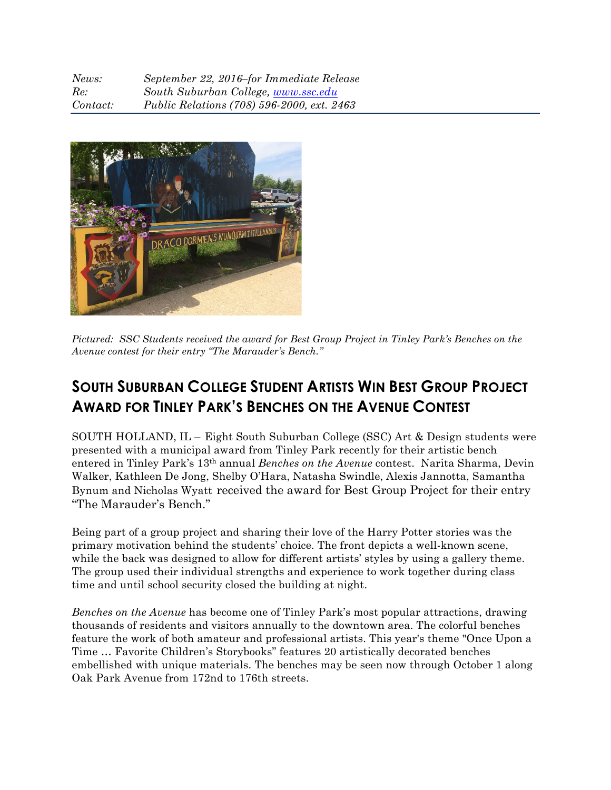| News:    | September 22, 2016-for Immediate Release   |
|----------|--------------------------------------------|
| Re:      | South Suburban College, www.ssc.edu        |
| Contact: | Public Relations (708) 596-2000, ext. 2463 |



*Pictured: SSC Students received the award for Best Group Project in Tinley Park's Benches on the Avenue contest for their entry "The Marauder's Bench."*

## **SOUTH SUBURBAN COLLEGE STUDENT ARTISTS WIN BEST GROUP PROJECT AWARD FOR TINLEY PARK'S BENCHES ON THE AVENUE CONTEST**

SOUTH HOLLAND, IL – Eight South Suburban College (SSC) Art & Design students were presented with a municipal award from Tinley Park recently for their artistic bench entered in Tinley Park's 13th annual *Benches on the Avenue* contest. Narita Sharma, Devin Walker, Kathleen De Jong, Shelby O'Hara, Natasha Swindle, Alexis Jannotta, Samantha Bynum and Nicholas Wyatt received the award for Best Group Project for their entry "The Marauder's Bench."

Being part of a group project and sharing their love of the Harry Potter stories was the primary motivation behind the students' choice. The front depicts a well-known scene, while the back was designed to allow for different artists' styles by using a gallery theme. The group used their individual strengths and experience to work together during class time and until school security closed the building at night.

*Benches on the Avenue* has become one of Tinley Park's most popular attractions, drawing thousands of residents and visitors annually to the downtown area. The colorful benches feature the work of both amateur and professional artists. This year's theme "Once Upon a Time … Favorite Children's Storybooks" features 20 artistically decorated benches embellished with unique materials. The benches may be seen now through October 1 along Oak Park Avenue from 172nd to 176th streets.